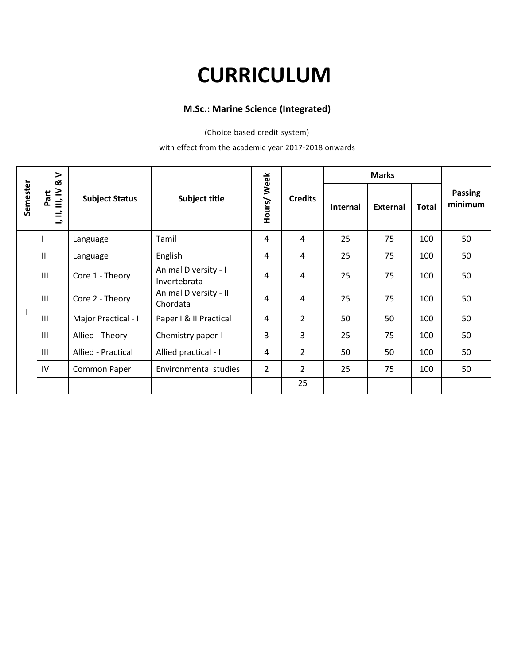# **CURRICULUM**

#### **M.Sc.: Marine Science (Integrated)**

(Choice based credit system)

#### with effect from the academic year 2017-2018 onwards

|          | $\geq$<br><b>ದ</b>                            | <b>Subject Status</b> | Subject title                        | Hours/Week     |                |                 |          |              |                           |
|----------|-----------------------------------------------|-----------------------|--------------------------------------|----------------|----------------|-----------------|----------|--------------|---------------------------|
| Semester | $\equiv$<br>Part<br>$\equiv$<br>$\Rightarrow$ |                       |                                      |                | <b>Credits</b> | <b>Internal</b> | External | <b>Total</b> | <b>Passing</b><br>minimum |
|          |                                               | Language              | Tamil                                | 4              | 4              | 25              | 75       | 100          | 50                        |
|          | $\mathbf{H}$                                  | Language              | English                              | 4              | 4              | 25              | 75       | 100          | 50                        |
|          | $\mathbf{III}$                                | Core 1 - Theory       | Animal Diversity - I<br>Invertebrata | 4              | 4              | 25              | 75       | 100          | 50                        |
|          | $\ensuremath{\mathsf{III}}\xspace$            | Core 2 - Theory       | Animal Diversity - II<br>Chordata    | 4              | 4              | 25              | 75       | 100          | 50                        |
|          | $\  \ $                                       | Major Practical - II  | Paper I & II Practical               | 4              | $\overline{2}$ | 50              | 50       | 100          | 50                        |
|          | $\mathop{\rm III}\nolimits$                   | Allied - Theory       | Chemistry paper-I                    | 3              | 3              | 25              | 75       | 100          | 50                        |
|          | $\mathbf{III}$                                | Allied - Practical    | Allied practical - I                 | $\overline{4}$ | $\overline{2}$ | 50              | 50       | 100          | 50                        |
|          | IV                                            | Common Paper          | Environmental studies                | $\overline{2}$ | $\overline{2}$ | 25              | 75       | 100          | 50                        |
|          |                                               |                       |                                      |                | 25             |                 |          |              |                           |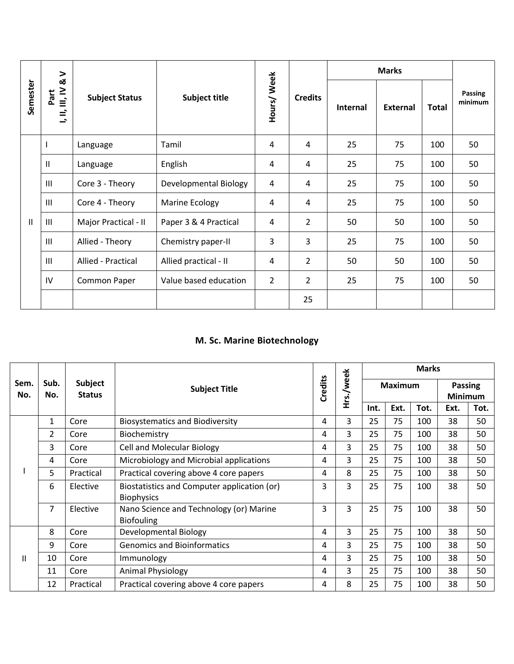|              | >                                                                    | <b>Subject Status</b> | Subject title         |                |                |          | <b>Marks</b>    |              |                    |
|--------------|----------------------------------------------------------------------|-----------------------|-----------------------|----------------|----------------|----------|-----------------|--------------|--------------------|
| Semester     | <b>ದ</b><br>$\equiv$<br>Part<br>$\equiv$<br>$\overline{\phantom{a}}$ |                       |                       | Hours/Week     | <b>Credits</b> | Internal | <b>External</b> | <b>Total</b> | Passing<br>minimum |
|              |                                                                      | Language              | Tamil                 | 4              | 4              | 25       | 75              | 100          | 50                 |
|              | $\mathbf{I}$                                                         | Language              | English               | 4              | 4              | 25       | 75              | 100          | 50                 |
|              | Ш                                                                    | Core 3 - Theory       | Developmental Biology | 4              | 4              | 25       | 75              | 100          | 50                 |
|              | $\mathbf{III}$                                                       | Core 4 - Theory       | Marine Ecology        | 4              | 4              | 25       | 75              | 100          | 50                 |
| $\mathbf{I}$ | $\  \ $                                                              | Major Practical - II  | Paper 3 & 4 Practical | 4              | $\overline{2}$ | 50       | 50              | 100          | 50                 |
|              | $\mathbf{III}$                                                       | Allied - Theory       | Chemistry paper-II    | 3              | $\overline{3}$ | 25       | 75              | 100          | 50                 |
|              | $\mathbf{III}$                                                       | Allied - Practical    | Allied practical - II | 4              | $\overline{2}$ | 50       | 50              | 100          | 50                 |
|              | IV                                                                   | Common Paper          | Value based education | $\overline{2}$ | $\overline{2}$ | 25       | 75              | 100          | 50                 |
|              |                                                                      |                       |                       |                | 25             |          |                 |              |                    |

#### **M. Sc. Marine Biotechnology**

|              |                |                          |                                                                  |                |           | <b>Marks</b>   |      |      |                                  |      |  |
|--------------|----------------|--------------------------|------------------------------------------------------------------|----------------|-----------|----------------|------|------|----------------------------------|------|--|
| Sem.<br>No.  | Sub.<br>No.    | Subject<br><b>Status</b> | <b>Subject Title</b>                                             | <b>Credits</b> | Hrs./week | <b>Maximum</b> |      |      | <b>Passing</b><br><b>Minimum</b> |      |  |
|              |                |                          |                                                                  |                |           | Int.           | Ext. | Tot. | Ext.                             | Tot. |  |
|              | $\mathbf{1}$   | Core                     | <b>Biosystematics and Biodiversity</b>                           | 4              | 3         | 25             | 75   | 100  | 38                               | 50   |  |
|              | $\overline{2}$ | Core                     | Biochemistry                                                     | 4              | 3         | 25             | 75   | 100  | 38                               | 50   |  |
|              | 3              | Core                     | <b>Cell and Molecular Biology</b>                                | 4              | 3         | 25             | 75   | 100  | 38                               | 50   |  |
|              | 4              | Core                     | Microbiology and Microbial applications                          | 4              | 3         | 25             | 75   | 100  | 38                               | 50   |  |
|              | 5              | Practical                | Practical covering above 4 core papers                           | 4              | 8         | 25             | 75   | 100  | 38                               | 50   |  |
|              | 6              | Elective                 | Biostatistics and Computer application (or)<br><b>Biophysics</b> | 3              | 3         | 25             | 75   | 100  | 38                               | 50   |  |
|              | 7              | Elective                 | Nano Science and Technology (or) Marine<br><b>Biofouling</b>     | 3              | 3         | 25             | 75   | 100  | 38                               | 50   |  |
|              | 8              | Core                     | Developmental Biology                                            | 4              | 3         | 25             | 75   | 100  | 38                               | 50   |  |
|              | 9              | Core                     | <b>Genomics and Bioinformatics</b>                               | 4              | 3         | 25             | 75   | 100  | 38                               | 50   |  |
| $\mathbf{H}$ | 10             | Core                     | Immunology                                                       | 4              | 3         | 25             | 75   | 100  | 38                               | 50   |  |
|              | 11             | Core                     | <b>Animal Physiology</b>                                         | 4              | 3         | 25             | 75   | 100  | 38                               | 50   |  |
|              | 12             | Practical                | Practical covering above 4 core papers                           | 4              | 8         | 25             | 75   | 100  | 38                               | 50   |  |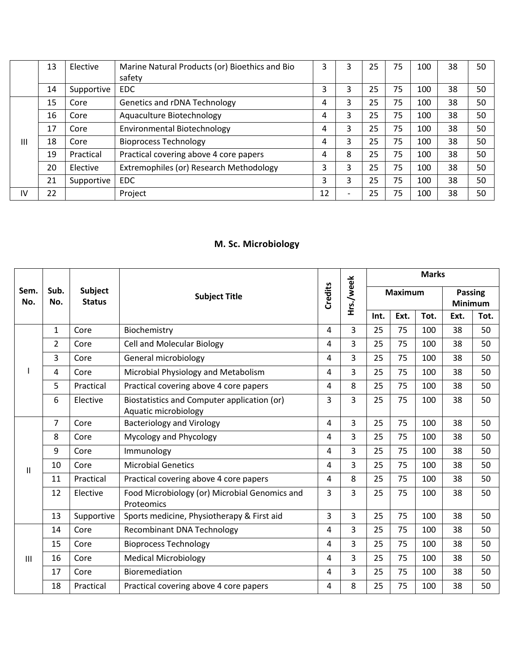|    | 13 | Elective   | Marine Natural Products (or) Bioethics and Bio | 3  |   | 25 | 75 | 100 | 38 | 50 |  |
|----|----|------------|------------------------------------------------|----|---|----|----|-----|----|----|--|
|    |    |            | safety                                         |    |   |    |    |     |    |    |  |
|    | 14 | Supportive | EDC                                            | 3  |   | 25 | 75 | 100 | 38 | 50 |  |
|    | 15 | Core       | Genetics and rDNA Technology                   |    |   | 25 | 75 | 100 | 38 | 50 |  |
|    | 16 | Core       | Aquaculture Biotechnology                      |    |   | 25 | 75 | 100 | 38 | 50 |  |
|    | 17 | Core       | <b>Environmental Biotechnology</b>             |    |   | 25 | 75 | 100 | 38 | 50 |  |
| Ш  | 18 | Core       | <b>Bioprocess Technology</b>                   | 4  |   | 25 | 75 | 100 | 38 | 50 |  |
|    | 19 | Practical  | Practical covering above 4 core papers         |    | 8 | 25 | 75 | 100 | 38 | 50 |  |
|    | 20 | Elective   | Extremophiles (or) Research Methodology        | 3  |   | 25 | 75 | 100 | 38 | 50 |  |
|    | 21 | Supportive | EDC.                                           | 3  |   | 25 | 75 | 100 | 38 | 50 |  |
| IV | 22 |            | Project                                        | 12 |   | 25 | 75 | 100 | 38 | 50 |  |

### **M. Sc. Microbiology**

|             |                |                          | <b>Subject Title</b>                                                |   | Hrs./week      | <b>Marks</b>   |      |      |                                  |      |  |
|-------------|----------------|--------------------------|---------------------------------------------------------------------|---|----------------|----------------|------|------|----------------------------------|------|--|
| Sem.<br>No. | Sub.<br>No.    | Subject<br><b>Status</b> |                                                                     |   |                | <b>Maximum</b> |      |      | <b>Passing</b><br><b>Minimum</b> |      |  |
|             |                |                          |                                                                     |   |                | Int.           | Ext. | Tot. | Ext.                             | Tot. |  |
|             | 1              | Core                     | Biochemistry                                                        | 4 | 3              | 25             | 75   | 100  | 38                               | 50   |  |
|             | $\overline{2}$ | Core                     | <b>Cell and Molecular Biology</b>                                   | 4 | 3              | 25             | 75   | 100  | 38                               | 50   |  |
|             | 3              | Core                     | General microbiology                                                | 4 | $\overline{3}$ | 25             | 75   | 100  | 38                               | 50   |  |
|             | $\overline{4}$ | Core                     | Microbial Physiology and Metabolism                                 | 4 | $\overline{3}$ | 25             | 75   | 100  | 38                               | 50   |  |
|             | 5              | Practical                | Practical covering above 4 core papers                              | 4 | 8              | 25             | 75   | 100  | 38                               | 50   |  |
|             | 6              | Elective                 | Biostatistics and Computer application (or)<br>Aquatic microbiology | 3 | 3              | 25             | 75   | 100  | 38                               | 50   |  |
|             | $\overline{7}$ | Core                     | <b>Bacteriology and Virology</b>                                    | 4 | $\overline{3}$ | 25             | 75   | 100  | 38                               | 50   |  |
|             | 8              | Core                     | Mycology and Phycology                                              | 4 | 3              | 25             | 75   | 100  | 38                               | 50   |  |
|             | 9              | Core                     | Immunology                                                          | 4 | 3              | 25             | 75   | 100  | 38                               | 50   |  |
| Ħ           | 10             | Core                     | <b>Microbial Genetics</b>                                           | 4 | 3              | 25             | 75   | 100  | 38                               | 50   |  |
|             | 11             | Practical                | Practical covering above 4 core papers                              | 4 | 8              | 25             | 75   | 100  | 38                               | 50   |  |
|             | 12             | Elective                 | Food Microbiology (or) Microbial Genomics and<br>Proteomics         | 3 | 3              | 25             | 75   | 100  | 38                               | 50   |  |
|             | 13             | Supportive               | Sports medicine, Physiotherapy & First aid                          | 3 | $\overline{3}$ | 25             | 75   | 100  | 38                               | 50   |  |
|             | 14             | Core                     | <b>Recombinant DNA Technology</b>                                   | 4 | $\overline{3}$ | 25             | 75   | 100  | 38                               | 50   |  |
|             | 15             | Core                     | <b>Bioprocess Technology</b>                                        | 4 | $\overline{3}$ | 25             | 75   | 100  | 38                               | 50   |  |
| Ш           | 16             | Core                     | <b>Medical Microbiology</b>                                         | 4 | 3              | 25             | 75   | 100  | 38                               | 50   |  |
|             | 17             | Core                     | Bioremediation                                                      | 4 | 3              | 25             | 75   | 100  | 38                               | 50   |  |
|             | 18             | Practical                | Practical covering above 4 core papers                              | 4 | 8              | 25             | 75   | 100  | 38                               | 50   |  |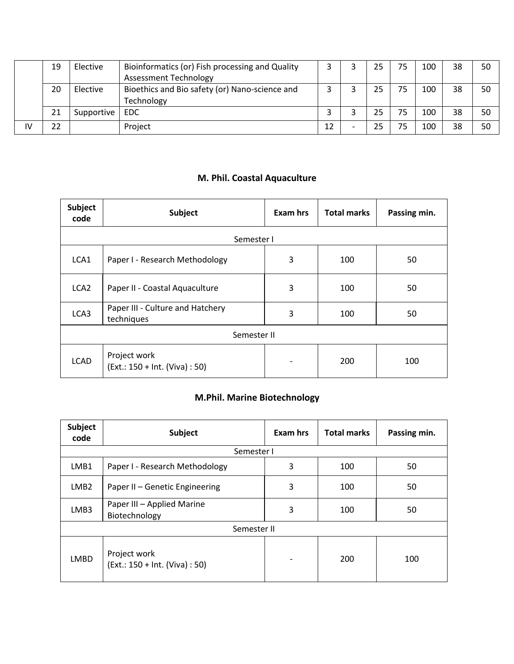|    | 19 | Elective   | Bioinformatics (or) Fish processing and Quality |    | 25 | 75 | 100 | 38 | 50 |  |
|----|----|------------|-------------------------------------------------|----|----|----|-----|----|----|--|
|    |    |            | <b>Assessment Technology</b>                    |    |    |    |     |    |    |  |
|    | 20 | Elective   | Bioethics and Bio safety (or) Nano-science and  |    | 25 | 75 | 100 | 38 | 50 |  |
|    |    |            | Technology                                      |    |    |    |     |    |    |  |
|    | 21 | Supportive | EDC.                                            |    | 25 | 75 | 100 | 38 | 50 |  |
| ١V | 22 |            | Project                                         | 12 | 25 | 75 | 100 | 38 | 50 |  |

## **M. Phil. Coastal Aquaculture**

| <b>Subject</b><br>code | Subject                                        | Exam hrs | <b>Total marks</b> | Passing min. |  |  |  |  |  |  |  |
|------------------------|------------------------------------------------|----------|--------------------|--------------|--|--|--|--|--|--|--|
| Semester I             |                                                |          |                    |              |  |  |  |  |  |  |  |
| LCA1                   | Paper I - Research Methodology                 | 3        | 100                | 50           |  |  |  |  |  |  |  |
| LCA <sub>2</sub>       | Paper II - Coastal Aquaculture                 | 3        | 100                | 50           |  |  |  |  |  |  |  |
| LCA3                   | Paper III - Culture and Hatchery<br>techniques | 3        | 100                | 50           |  |  |  |  |  |  |  |
| Semester II            |                                                |          |                    |              |  |  |  |  |  |  |  |
| <b>LCAD</b>            | Project work<br>(Ext.: 150 + Int. (Viva) : 50) |          | 200                | 100          |  |  |  |  |  |  |  |

## **M.Phil. Marine Biotechnology**

| <b>Subject</b><br>code | <b>Subject</b>                                 | <b>Exam hrs</b>          | <b>Total marks</b> | Passing min. |  |  |  |  |  |  |  |
|------------------------|------------------------------------------------|--------------------------|--------------------|--------------|--|--|--|--|--|--|--|
| Semester I             |                                                |                          |                    |              |  |  |  |  |  |  |  |
| LMB1                   | Paper I - Research Methodology                 | 3                        | 100                | 50           |  |  |  |  |  |  |  |
| LMB <sub>2</sub>       | Paper II - Genetic Engineering                 | 3                        | 100                | 50           |  |  |  |  |  |  |  |
| LMB3                   | Paper III - Applied Marine<br>Biotechnology    | 3                        | 100                | 50           |  |  |  |  |  |  |  |
|                        | Semester II                                    |                          |                    |              |  |  |  |  |  |  |  |
| <b>LMBD</b>            | Project work<br>(Ext.: 150 + Int. (Viva) : 50) | $\overline{\phantom{a}}$ | 200                | 100          |  |  |  |  |  |  |  |